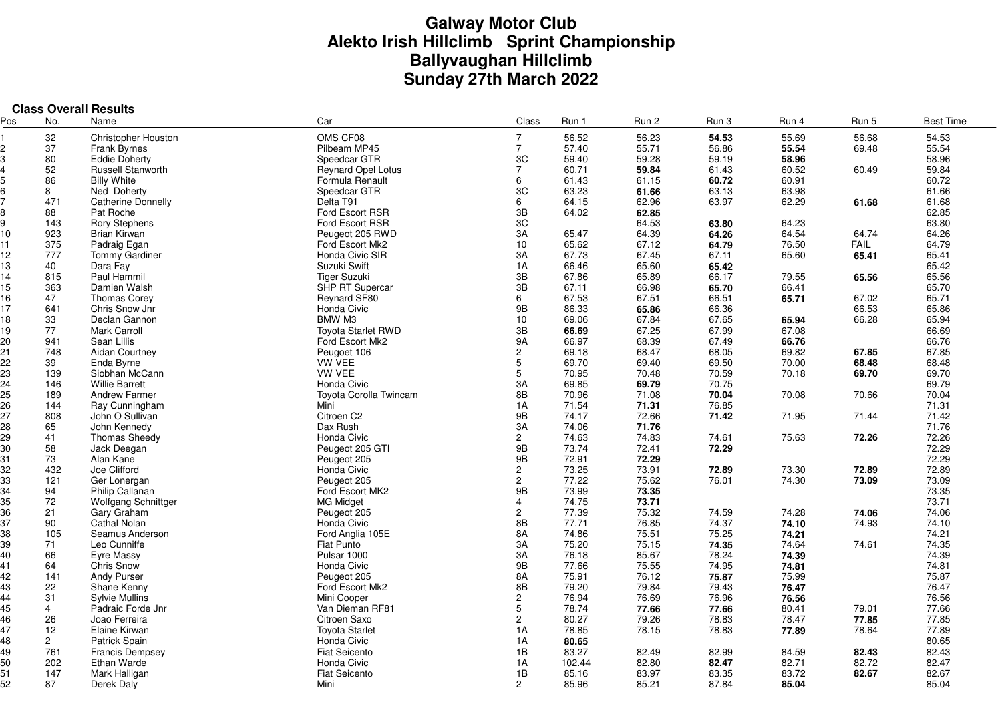# **Galway Motor Club Alekto Irish Hillclimb Sprint Championship Ballyvaughan Hillclimb Sunday 27th March 2022**

|     |                | <b>Class Overall Results</b> |                               |                           |                |       |                |                |             |                  |
|-----|----------------|------------------------------|-------------------------------|---------------------------|----------------|-------|----------------|----------------|-------------|------------------|
| Pos | No.            | Name                         | Car                           | Class                     | Run 1          | Run 2 | Run 3          | Run 4          | Run 5       | <b>Best Time</b> |
|     | 32             | Christopher Houston          | OMS CF08                      | $\overline{7}$            | 56.52          | 56.23 | 54.53          | 55.69          | 56.68       | 54.53            |
|     | 37             | <b>Frank Byrnes</b>          | Pilbeam MP45                  | $\overline{7}$            | 57.40          | 55.71 | 56.86          | 55.54          | 69.48       | 55.54            |
|     | 80             | <b>Eddie Doherty</b>         | Speedcar GTR                  | 3C                        | 59.40          | 59.28 | 59.19          | 58.96          |             | 58.96            |
|     | 52             | <b>Russell Stanworth</b>     | <b>Reynard Opel Lotus</b>     | $\overline{7}$            | 60.71          | 59.84 | 61.43          | 60.52          | 60.49       | 59.84            |
|     | 86             | <b>Billy White</b>           | Formula Renault               | 6                         | 61.43          | 61.15 | 60.72          | 60.91          |             | 60.72            |
|     | 8              | Ned Doherty                  | Speedcar GTR                  | 3C                        | 63.23          | 61.66 | 63.13          | 63.98          |             | 61.66            |
|     | 471            | <b>Catherine Donnelly</b>    | Delta T91                     | 6                         | 64.15          | 62.96 | 63.97          | 62.29          | 61.68       | 61.68            |
|     | 88             | Pat Roche                    | Ford Escort RSR               | 3B                        | 64.02          | 62.85 |                |                |             | 62.85            |
|     | 143            | <b>Rory Stephens</b>         | Ford Escort RSR               | 3C                        |                | 64.53 | 63.80          | 64.23          |             | 63.80            |
| 10  | 923            | <b>Brian Kirwan</b>          | Peugeot 205 RWD               | 3A                        | 65.47          | 64.39 | 64.26          | 64.54          | 64.74       | 64.26            |
| 11  | 375            | Padraig Egan                 | Ford Escort Mk2               | 10                        | 65.62          | 67.12 | 64.79          | 76.50          | <b>FAIL</b> | 64.79            |
| 12  | 777            | Tommy Gardiner               | Honda Civic SIR               | 3A                        | 67.73          | 67.45 | 67.11          | 65.60          | 65.41       | 65.41            |
| 13  | 40             | Dara Fay                     | Suzuki Swift                  | 1A                        | 66.46          | 65.60 | 65.42          |                |             | 65.42            |
| 14  | 815            | Paul Hammil                  | <b>Tiger Suzuki</b>           | 3B                        | 67.86          | 65.89 | 66.17          | 79.55          | 65.56       | 65.56            |
| 15  | 363            | Damien Walsh                 | <b>SHP RT Supercar</b>        | 3B                        | 67.11          | 66.98 | 65.70          | 66.41          |             | 65.70            |
| 16  | 47             | <b>Thomas Corey</b>          | Reynard SF80                  | 6                         | 67.53          | 67.51 | 66.51          | 65.71          | 67.02       | 65.71            |
| 17  | 641            | Chris Snow Jnr               | Honda Civic                   | 9B                        | 86.33          | 65.86 | 66.36          |                | 66.53       | 65.86            |
| 18  | 33             | Declan Gannon                | BMW M3                        | 10 <sup>10</sup>          | 69.06          | 67.84 | 67.65          | 65.94          | 66.28       | 65.94            |
| 19  | 77             | <b>Mark Carroll</b>          | Toyota Starlet RWD            | 3B                        | 66.69          | 67.25 | 67.99          | 67.08          |             | 66.69            |
| 20  | 941            | Sean Lillis                  | Ford Escort Mk2               | <b>9A</b>                 | 66.97          | 68.39 | 67.49          | 66.76          |             | 66.76            |
| 21  | 748            |                              | Peugoet 106                   |                           |                |       |                | 69.82          | 67.85       |                  |
| 22  | 39             | <b>Aidan Courtney</b>        | <b>VW VEE</b>                 | $\mathbf{2}^{\circ}$<br>5 | 69.18<br>69.70 | 68.47 | 68.05          |                | 68.48       | 67.85            |
| 23  | 139            | Enda Byrne<br>Siobhan McCann | <b>VW VEE</b>                 | 5                         | 70.95          | 69.40 | 69.50<br>70.59 | 70.00<br>70.18 | 69.70       | 68.48<br>69.70   |
| 24  |                |                              |                               | 3A                        |                | 70.48 |                |                |             |                  |
| 25  | 146            | <b>Willie Barrett</b>        | Honda Civic                   |                           | 69.85          | 69.79 | 70.75<br>70.04 |                |             | 69.79            |
| 26  | 189            | <b>Andrew Farmer</b>         | <b>Toyota Corolla Twincam</b> | 8B                        | 70.96          | 71.08 |                | 70.08          | 70.66       | 70.04            |
|     | 144            | Ray Cunningham               | Mini                          | 1A                        | 71.54          | 71.31 | 76.85          |                |             | 71.31            |
| 27  | 808            | John O Sullivan              | Citroen C2                    | 9B                        | 74.17          | 72.66 | 71.42          | 71.95          | 71.44       | 71.42            |
| 28  | 65             | John Kennedy                 | Dax Rush                      | 3A                        | 74.06          | 71.76 |                |                |             | 71.76            |
| 29  | 41             | <b>Thomas Sheedy</b>         | Honda Civic                   | $\overline{2}$            | 74.63          | 74.83 | 74.61          | 75.63          | 72.26       | 72.26            |
| 30  | 58             | Jack Deegan                  | Peugeot 205 GTI               | 9B                        | 73.74          | 72.41 | 72.29          |                |             | 72.29            |
| 31  | 73             | Alan Kane                    | Peugeot 205                   | 9B                        | 72.91          | 72.29 |                |                |             | 72.29            |
| 32  | 432            | Joe Clifford                 | Honda Civic                   | $\overline{c}$            | 73.25          | 73.91 | 72.89          | 73.30          | 72.89       | 72.89            |
| 33  | 121            | Ger Lonergan                 | Peugeot 205                   | $\overline{c}$            | 77.22          | 75.62 | 76.01          | 74.30          | 73.09       | 73.09            |
| 34  | 94             | Philip Callanan              | Ford Escort MK2               | 9B                        | 73.99          | 73.35 |                |                |             | 73.35            |
| 35  | 72             | <b>Wolfgang Schnittger</b>   | <b>MG Midget</b>              | $\overline{4}$            | 74.75          | 73.71 |                |                |             | 73.71            |
| 36  | 21             | Gary Graham                  | Peugeot 205                   | $\overline{2}$            | 77.39          | 75.32 | 74.59          | 74.28          | 74.06       | 74.06            |
| 37  | 90             | <b>Cathal Nolan</b>          | Honda Civic                   | 8B                        | 77.71          | 76.85 | 74.37          | 74.10          | 74.93       | 74.10            |
| 38  | 105            | Seamus Anderson              | Ford Anglia 105E              | 8A                        | 74.86          | 75.51 | 75.25          | 74.21          |             | 74.21            |
| 39  | 71             | Leo Cunniffe                 | Fiat Punto                    | 3A                        | 75.20          | 75.15 | 74.35          | 74.64          | 74.61       | 74.35            |
| 40  | 66             | Eyre Massy                   | Pulsar 1000                   | 3A                        | 76.18          | 85.67 | 78.24          | 74.39          |             | 74.39            |
| 41  | 64             | <b>Chris Snow</b>            | Honda Civic                   | 9B                        | 77.66          | 75.55 | 74.95          | 74.81          |             | 74.81            |
| 42  | 141            | Andy Purser                  | Peugeot 205                   | 8A                        | 75.91          | 76.12 | 75.87          | 75.99          |             | 75.87            |
| 43  | 22             | Shane Kenny                  | Ford Escort Mk2               | 8B                        | 79.20          | 79.84 | 79.43          | 76.47          |             | 76.47            |
| 44  | 31             | <b>Sylvie Mullins</b>        | Mini Cooper                   | $\overline{c}$            | 76.94          | 76.69 | 76.96          | 76.56          |             | 76.56            |
| 45  | $\overline{4}$ | Padraic Forde Jnr            | Van Dieman RF81               | 5                         | 78.74          | 77.66 | 77.66          | 80.41          | 79.01       | 77.66            |
| 46  | 26             | Joao Ferreira                | Citroen Saxo                  | $\overline{c}$            | 80.27          | 79.26 | 78.83          | 78.47          | 77.85       | 77.85            |
| 47  | 12             | Elaine Kirwan                | <b>Toyota Starlet</b>         | 1A                        | 78.85          | 78.15 | 78.83          | 77.89          | 78.64       | 77.89            |
| 48  | $\overline{2}$ | Patrick Spain                | Honda Civic                   | 1A                        | 80.65          |       |                |                |             | 80.65            |
| 49  | 761            | <b>Francis Dempsey</b>       | <b>Fiat Seicento</b>          | 1B                        | 83.27          | 82.49 | 82.99          | 84.59          | 82.43       | 82.43            |
| 50  | 202            | Ethan Warde                  | Honda Civic                   | 1A                        | 102.44         | 82.80 | 82.47          | 82.71          | 82.72       | 82.47            |
| 51  | 147            | Mark Halligan                | <b>Fiat Seicento</b>          | 1B                        | 85.16          | 83.97 | 83.35          | 83.72          | 82.67       | 82.67            |
| 52  | 87             | Derek Daly                   | Mini                          | $\overline{2}$            | 85.96          | 85.21 | 87.84          | 85.04          |             | 85.04            |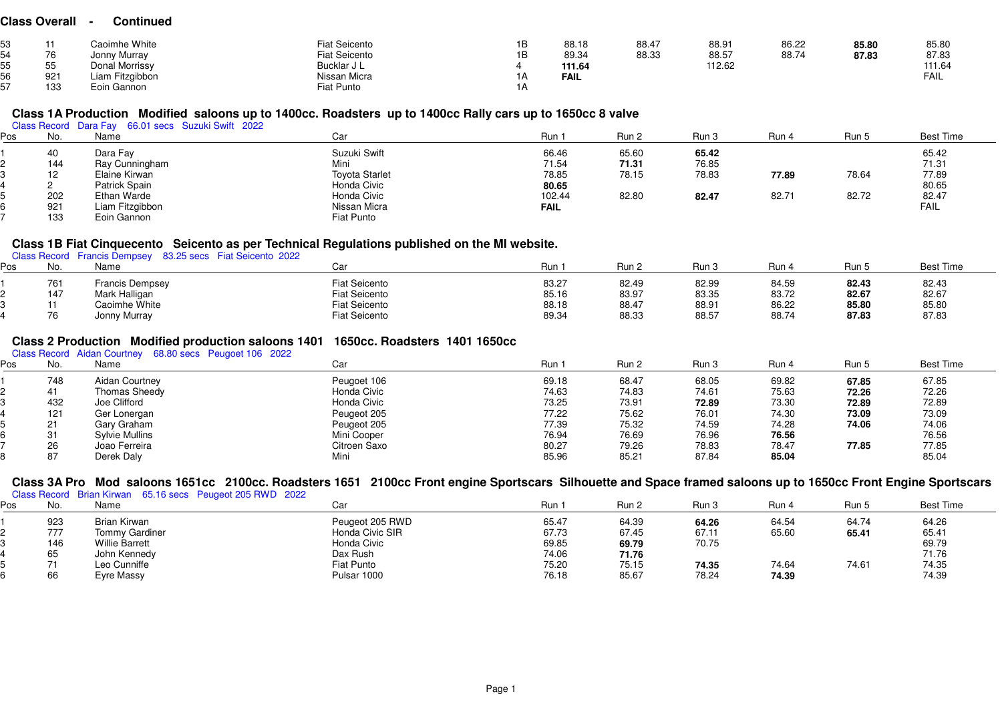#### **Class Overall - Continued**

|                      | Caoimhe White   | <b>Fiat Seicento</b> | 1B | 88.18  | 88.47 | 88.91  | 86.22 | 85.80 | 85.80  |
|----------------------|-----------------|----------------------|----|--------|-------|--------|-------|-------|--------|
| $\overline{z}$<br>70 | Jonny Murray    | <b>Fiat Seicento</b> | 1B | 89.34  | 88.33 | 88.57  | 88.74 | 87.83 | 87.83  |
| 55<br>ັບປ            | Donal Morrissy  | Bucklar J L          |    | 111.64 |       | 112.62 |       |       | 111.64 |
| 921                  | Liam Fitzgibbon | Nissan Micra         |    | FAIL   |       |        |       |       | FAIL   |
| 133                  | Eoin Gannon     | Fiat Punto           |    |        |       |        |       |       |        |

# **Class 1A Production Modified saloons up to 1400cc. Roadsters up to 1400cc Rally cars up to 1650cc 8 valve** Class Record Dara Fay 66.01 secs Suzuki Swift 2022

| οs | No. | Name                 | Car                   | Run 1       | Run 2 | Run 3 | Run 4 | Run 5 | <b>Best Time</b> |
|----|-----|----------------------|-----------------------|-------------|-------|-------|-------|-------|------------------|
|    | 40  | Dara Fay             | Suzuki Swift          | 66.46       | 65.60 | 65.42 |       |       |                  |
|    | 144 | Ray Cunningham       | Mini                  | 71.54       | 71.31 | 76.85 |       |       | 65.42<br>71.31   |
|    | 12  | Elaine Kirwan        | <b>Toyota Starlet</b> | 78.85       | 78.15 | 78.83 | 77.89 | 78.64 | 77.89            |
|    |     | <b>Patrick Spain</b> | Honda Civic           | 80.65       |       |       |       |       | 80.65            |
|    | 202 | Ethan Warde          | Honda Civic           | 102.44      | 82.80 | 82.47 | 82.71 | 82.72 | 82.47            |
|    | 921 | Liam Fitzgibbon      | Nissan Micra          | <b>FAIL</b> |       |       |       |       | <b>FAIL</b>      |
|    | 133 | Eoin Gannon          | Fiat Punto            |             |       |       |       |       |                  |

# **Class 1B Fiat Cinquecento Seicento as per Technical Regulations published on the MI website.** Class Record Francis Dempsey 83.25 secs Fiat Seicento 2022

| Pos | No. | Class Record Francis Dempsey 83.25 secs Fiat Selcento 2022<br>Name | Car                  | Run   | Run 2 | Run 3 | Run 4 | Run 5 | <b>Best Time</b> |
|-----|-----|--------------------------------------------------------------------|----------------------|-------|-------|-------|-------|-------|------------------|
|     | 761 | <b>Francis Dempsey</b>                                             | <b>Fiat Seicento</b> | 83.27 | 82.49 | 82.99 | 84.59 | 82.43 | 82.43            |
|     | 147 | Mark Halligan                                                      | <b>Fiat Seicento</b> | 85.16 | 83.97 | 83.35 | 83.72 | 82.67 | 82.67            |
|     |     | Caoimhe White                                                      | <b>Fiat Seicento</b> | 88.18 | 88.47 | 88.91 | 86.22 | 85.80 | 85.80            |
|     | 76  | Jonny Murray                                                       | <b>Fiat Seicento</b> | 89.34 | 88.33 | 88.57 | 88.74 | 87.83 | 87.83            |

# **Class 2 Production Modified production saloons 1401 1650cc. Roadsters 1401 1650cc** Class Record Aidan Courtney 68.80 secs Peugoet 106 2022

| ₽os | No. | Name                  | Car          | Run 1 | Run 2 | Run 3 | Run 4 | Run 5 | <b>Best Time</b> |
|-----|-----|-----------------------|--------------|-------|-------|-------|-------|-------|------------------|
|     | 748 | <b>Aidan Courtney</b> | Peugoet 106  | 69.18 | 68.47 | 68.05 | 69.82 | 67.85 | 67.85            |
|     | 41  | Thomas Sheedy         | Honda Civic  | 74.63 | 74.83 | 74.61 | 75.63 | 72.26 | 72.26            |
|     | 432 | Joe Clifford          | Honda Civic  | 73.25 | 73.91 | 72.89 | 73.30 | 72.89 | 72.89            |
|     | 121 | Ger Lonergan          | Peugeot 205  | 77.22 | 75.62 | 76.01 | 74.30 | 73.09 | 73.09            |
|     | 21  | Gary Graham           | Peugeot 205  | 77.39 | 75.32 | 74.59 | 74.28 | 74.06 | 74.06            |
|     | 31  | <b>Sylvie Mullins</b> | Mini Cooper  | 76.94 | 76.69 | 76.96 | 76.56 |       | 76.56            |
|     | 26  | Joao Ferreira         | Citroen Saxo | 80.27 | 79.26 | 78.83 | 78.47 | 77.85 | 77.85            |
|     | 87  | Derek Daly            | Mini         | 85.96 | 85.21 | 87.84 | 85.04 |       | 85.04            |

#### **Class 3A Pro Mod saloons 1651cc 2100cc. Roadsters 1651 2100cc Front engine Sportscars Silhouette and Space framed saloons up to 1650cc Front Engine Sportscars**

| Pos | No.            | Class Record Brian Kirwan 65.16 secs Peugeot 205 RWD 2022<br>Name | Car             | Run 1 | Run 2 | Run 3 | Run 4 | Run 5 | <b>Best Time</b> |
|-----|----------------|-------------------------------------------------------------------|-----------------|-------|-------|-------|-------|-------|------------------|
|     | 923            | Brian Kirwan                                                      | Peugeot 205 RWD | 65.47 | 64.39 | 64.26 | 64.54 | 64.74 | 64.26            |
|     | 777            | Tommy Gardiner                                                    | Honda Civic SIR | 67.73 | 67.45 | 67.11 | 65.60 | 65.41 | 65.41            |
|     | 146            | <b>Willie Barrett</b>                                             | Honda Civic     | 69.85 | 69.79 | 70.75 |       |       | 69.79            |
|     | 65             | John Kennedy                                                      | Dax Rush        | 74.06 | 71.76 |       |       |       | 71.76            |
|     | $\overline{ }$ | Leo Cunniffe                                                      | Fiat Punto      | 75.20 | 75.15 | 74.35 | 74.64 | 74.61 | 74.35            |
|     | 66             | Eyre Massy                                                        | Pulsar 1000     | 76.18 | 85.67 | 78.24 | 74.39 |       | 74.39            |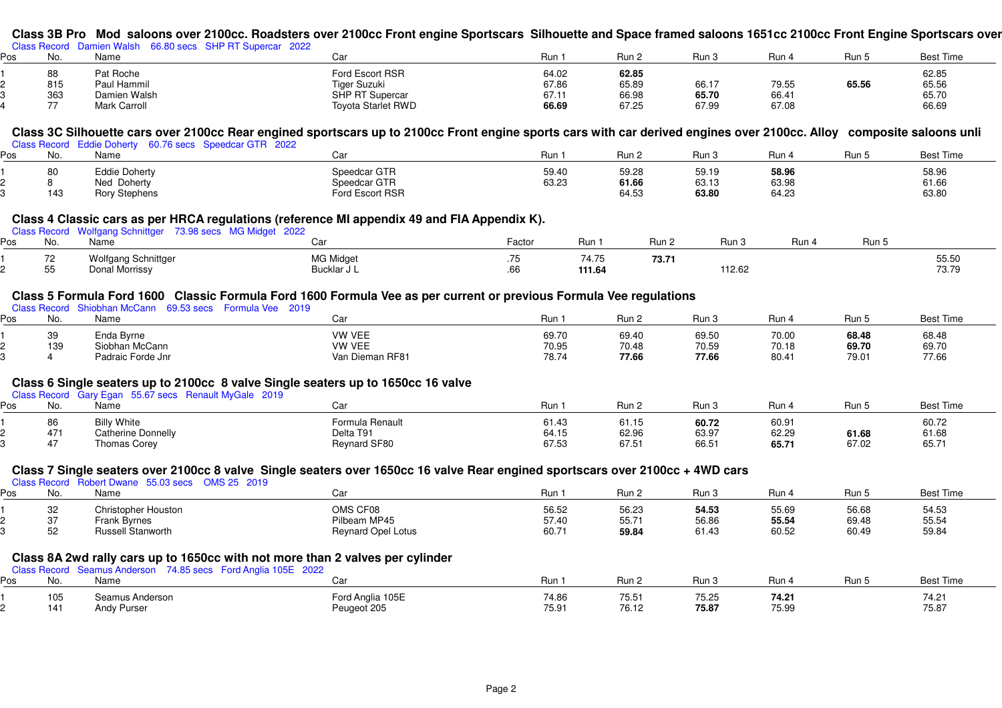## **Class 3B Pro Mod saloons over 2100cc. Roadsters over 2100cc Front engine Sportscars Silhouette and Space framed saloons 1651cc 2100cc Front Engine Sportscars over**

|     | Class Record  | Damien Walsh<br>66.80 secs SHP RT Supercar 2022 |                    |       |       |       |       |       |           |
|-----|---------------|-------------------------------------------------|--------------------|-------|-------|-------|-------|-------|-----------|
| Pos | No            | Name                                            |                    | Run⊣  | Run 2 | Run 3 | Run 4 | Run 5 | Best Time |
|     | 88            | Pat Roche                                       | Ford Escort RSR    | 64.02 | 62.85 |       |       |       | 62.85     |
|     | 815           | Paul Hammil                                     | Tiger Suzuki       | 67.86 | 65.89 | 66.17 | 79.55 | 65.56 | 65.56     |
|     | 363           | Damien Walsh                                    | SHP RT Supercar    | 67.11 | 66.98 | 65.70 | 66.41 |       | 65.70     |
|     | $\rightarrow$ | <b>Mark Carroll</b>                             | Toyota Starlet RWD | 66.69 | 67.25 | 67.99 | 67.08 |       | 66.69     |

# Class 3C Silhouette cars over 2100cc Rear engined sportscars up to 2100cc Front engine sports cars with car derived engines over 2100cc. Alloy eomposite saloons unli<br><sub>Class Record Eddie Doherty 60.76 secs Speedcar GTR 2022</sub>

| פס |     | Class Record Equile Dollerly 60.76 Secs Speedcal GTR 2022<br>Name | Car                                             | Run            | Run 2                   | Run 3                   | Run 4                   | Run 5 | <b>Best Time</b>        |
|----|-----|-------------------------------------------------------------------|-------------------------------------------------|----------------|-------------------------|-------------------------|-------------------------|-------|-------------------------|
|    | 143 | Eddie Doherty<br>Ned Doherty<br><b>Rory Stephens</b>              | Speedcar GTR<br>Speedcar GTR<br>Ford Escort RSR | 59.40<br>63.23 | 59.28<br>61.66<br>64.53 | 59.19<br>63.13<br>63.80 | 58.96<br>63.98<br>64.23 |       | 58.96<br>61.66<br>63.80 |

#### **Class 4 Classic cars as per HRCA regulations (reference MI appendix 49 and FIA Appendix K).**

|     |       | Class Record Wolfgang Schnittger 73.98 secs MG Midget 2022 | - -<br>- -                      |                    |                 |       |        |     |       |                |
|-----|-------|------------------------------------------------------------|---------------------------------|--------------------|-----------------|-------|--------|-----|-------|----------------|
| Pos | No    | Name                                                       | .ar                             | <sup>=</sup> actor | Run             | Run 2 | Run 3  | Run | Run 5 |                |
|     | $- -$ | Wolfgang Schnittger<br>Donal Morrissy                      | <b>MG Midget</b><br>Bucklar J L | $\cdot$            | 74.75<br>111.64 | 73.71 | 112.62 |     |       | 55.50<br>73.79 |

#### **Class 5 Formula Ford 1600 Classic Formula Ford 1600 Formula Vee as per current or previous Formula Vee regulations**

|     |     | Formula Vee 2019<br><b>Chir</b><br>. inhan M<br>. McCann i<br>9 53 secs |                 |       |       |       |                   |       |                  |
|-----|-----|-------------------------------------------------------------------------|-----------------|-------|-------|-------|-------------------|-------|------------------|
| Ρos | No. | Name                                                                    |                 | Run∴  | Run 2 | Run 3 | Run.              | Run t | <b>Best Time</b> |
|     | 39  | Enda Byrne                                                              | <b>VW VEE</b>   | 69.70 | 69.40 | 69.50 | 70.00             | 68.48 | 68.48            |
|     | 139 | Siobhan McCann                                                          | <b>VW VEE</b>   | 70.95 | 70.48 | 70.59 | 70.18             | 69.70 | 69.70            |
|     |     | Padraic Forde Jnr                                                       | Van Dieman RF81 | 78.74 | 77.66 | 77.66 | 80.4 <sup>2</sup> | 79.01 | 77.66            |

#### **Class 6 Single seaters up to 2100cc 8 valve Single seaters up to 1650cc 16 valve**

|  | Class Record Gary Egan 55.67 secs Renault MyGale 2019 |  |
|--|-------------------------------------------------------|--|

| os | No. | ---<br>Name                  | Car             | Run             | Run 2 | Run 3 | Run   | הונ   | <b>Best Time</b> |
|----|-----|------------------------------|-----------------|-----------------|-------|-------|-------|-------|------------------|
|    | 86  | <b>White</b><br><b>Billy</b> | Formula Renault | 61.43           | 61.15 | 60.72 | 60.91 |       | 60.72            |
|    | 471 | Catherine Donnelly           | Delta T91       | 21 15<br>04. IJ | 62.96 | 63.97 | 62.29 | 61.68 | 61.68            |
|    |     | Thomas Corey                 | Reynard SF80    | 67.53           | 67.51 | 66.5  | 65.71 | 67.02 | 65.71            |

## **Class 7 Single seaters over 2100cc 8 valve Single seaters over 1650cc 16 valve Rear engined sportscars over 2100cc + 4WD cars** Class Record Robert Dwane 55.03 secs OMS 25 2019

| Pos | No. | Name                                                          | Car                                                                           | Run 1 | Run 2 | Run 3 | Run 4 | Run 5 | <b>Best Time</b> |
|-----|-----|---------------------------------------------------------------|-------------------------------------------------------------------------------|-------|-------|-------|-------|-------|------------------|
|     | 32  | <b>Christopher Houston</b>                                    | OMS CF08                                                                      | 56.52 | 56.23 | 54.53 | 55.69 | 56.68 | 54.53            |
|     | 37  | Frank Byrnes                                                  | Pilbeam MP45                                                                  | 57.40 | 55.71 | 56.86 | 55.54 | 69.48 | 55.54            |
|     | 52  | <b>Russell Stanworth</b>                                      | <b>Reynard Opel Lotus</b>                                                     | 60.71 | 59.84 | 61.43 | 60.52 | 60.49 | 59.84            |
|     |     | Class Record Seamus Anderson 74.85 secs Ford Anglia 105E 2022 | Class 8A 2wd rally cars up to 1650cc with not more than 2 valves per cylinder |       |       |       |       |       |                  |
| Pos | No. | Name                                                          | Car                                                                           | Run 1 | Run 2 | Run 3 | Run 4 | Run 5 | <b>Best Time</b> |
|     | 105 | Seamus Anderson                                               | Ford Anglia 105E                                                              | 74.86 | 75.51 | 75.25 | 74.21 |       | 74.21            |
|     | 141 | Andy Purser                                                   | Peugeot 205                                                                   | 75.91 | 76.12 | 75.87 | 75.99 |       | 75.87            |